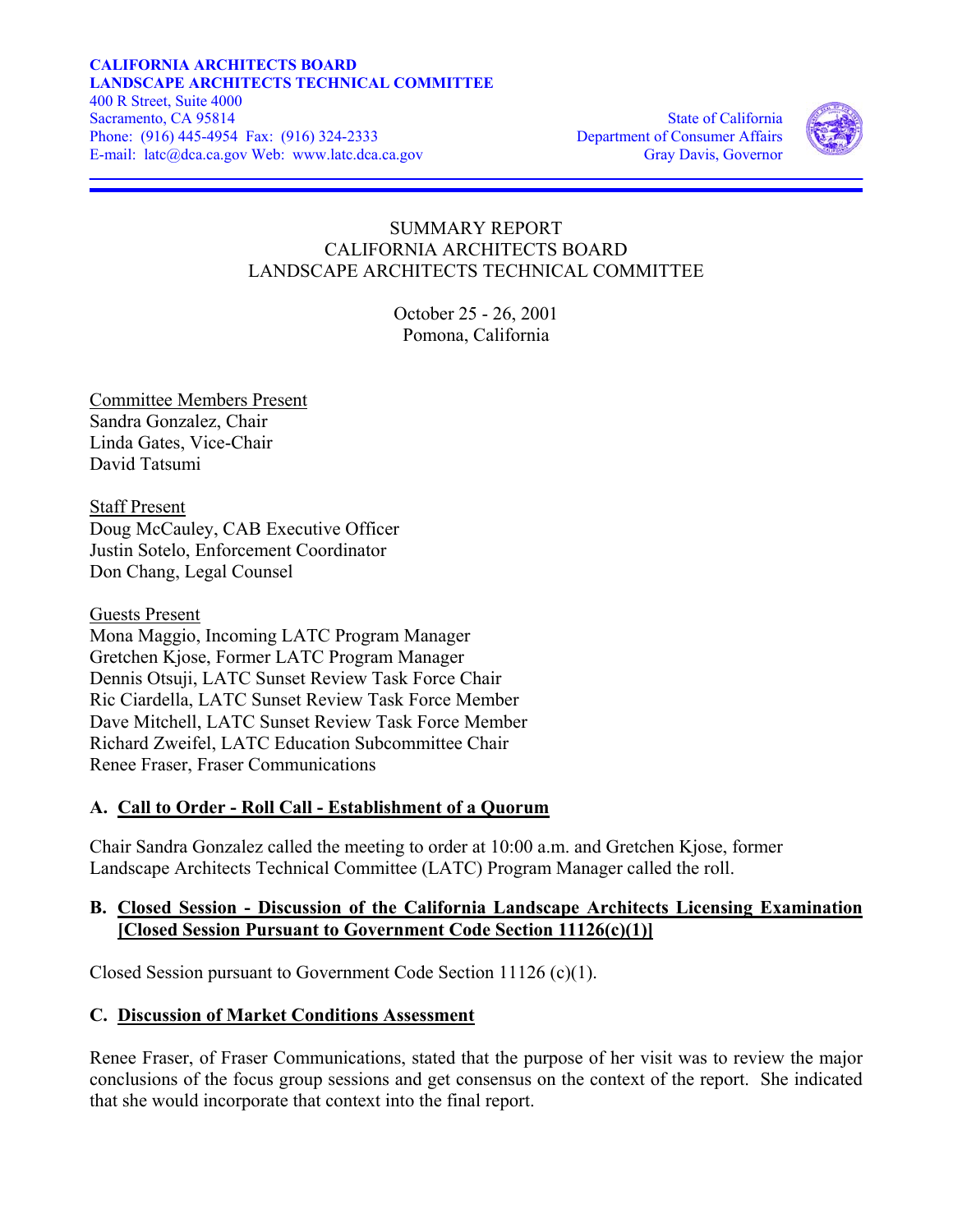#### Phone: (916) 445-4954 Fax: (916) 324-2333 Department of Consumer Affairs **CALIFORNIA ARCHITECTS BOARD LANDSCAPE ARCHITECTS TECHNICAL COMMITTEE**  400 R Street, Suite 4000 Sacramento, CA 95814 State of California E-mail: latc@dca.ca.gov Web: www.latc.dca.ca.gov Gray Davis, Governor



## SUMMARY REPORT CALIFORNIA ARCHITECTS BOARD LANDSCAPE ARCHITECTS TECHNICAL COMMITTEE

October 25 - 26, 2001 Pomona, California

Committee Members Present Sandra Gonzalez, Chair Linda Gates, Vice-Chair David Tatsumi

Staff Present Doug McCauley, CAB Executive Officer Justin Sotelo, Enforcement Coordinator Don Chang, Legal Counsel

Guests Present Mona Maggio, Incoming LATC Program Manager Gretchen Kjose, Former LATC Program Manager Dennis Otsuji, LATC Sunset Review Task Force Chair Ric Ciardella, LATC Sunset Review Task Force Member Dave Mitchell, LATC Sunset Review Task Force Member Richard Zweifel, LATC Education Subcommittee Chair Renee Fraser, Fraser Communications

## **A. Call to Order - Roll Call - Establishment of a Quorum**

Chair Sandra Gonzalez called the meeting to order at 10:00 a.m. and Gretchen Kjose, former Landscape Architects Technical Committee (LATC) Program Manager called the roll.

#### **B. Closed Session - Discussion of the California Landscape Architects Licensing Examination [Closed Session Pursuant to Government Code Section 11126(c)(1)]**

Closed Session pursuant to Government Code Section 11126 (c)(1).

## **C. Discussion of Market Conditions Assessment**

Renee Fraser, of Fraser Communications, stated that the purpose of her visit was to review the major conclusions of the focus group sessions and get consensus on the context of the report. She indicated that she would incorporate that context into the final report.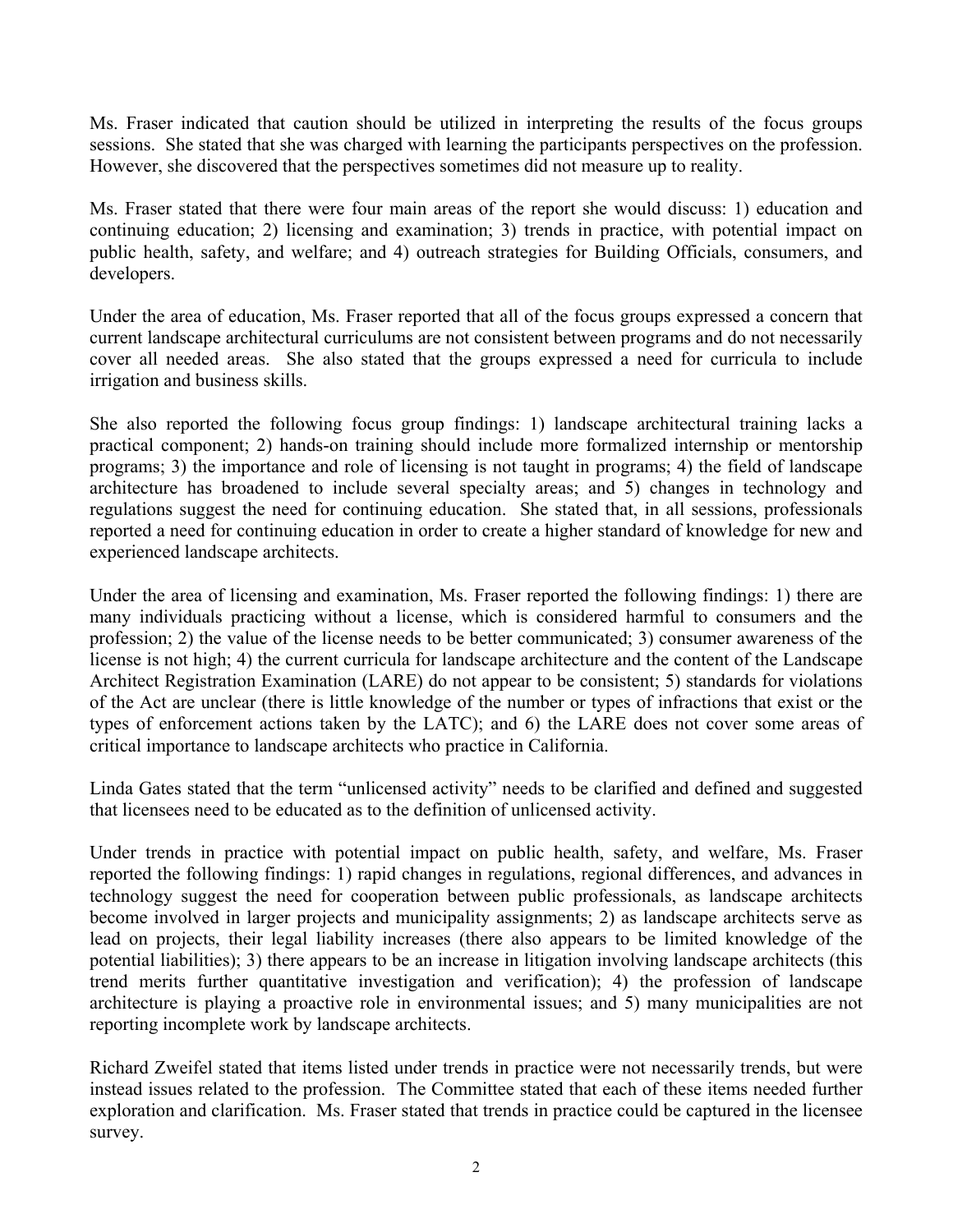Ms. Fraser indicated that caution should be utilized in interpreting the results of the focus groups sessions. She stated that she was charged with learning the participants perspectives on the profession. However, she discovered that the perspectives sometimes did not measure up to reality.

Ms. Fraser stated that there were four main areas of the report she would discuss: 1) education and continuing education; 2) licensing and examination; 3) trends in practice, with potential impact on public health, safety, and welfare; and 4) outreach strategies for Building Officials, consumers, and developers.

Under the area of education, Ms. Fraser reported that all of the focus groups expressed a concern that current landscape architectural curriculums are not consistent between programs and do not necessarily cover all needed areas. She also stated that the groups expressed a need for curricula to include irrigation and business skills.

She also reported the following focus group findings: 1) landscape architectural training lacks a practical component; 2) hands-on training should include more formalized internship or mentorship programs; 3) the importance and role of licensing is not taught in programs; 4) the field of landscape architecture has broadened to include several specialty areas; and 5) changes in technology and regulations suggest the need for continuing education. She stated that, in all sessions, professionals reported a need for continuing education in order to create a higher standard of knowledge for new and experienced landscape architects.

Under the area of licensing and examination, Ms. Fraser reported the following findings: 1) there are many individuals practicing without a license, which is considered harmful to consumers and the profession; 2) the value of the license needs to be better communicated; 3) consumer awareness of the license is not high; 4) the current curricula for landscape architecture and the content of the Landscape Architect Registration Examination (LARE) do not appear to be consistent; 5) standards for violations of the Act are unclear (there is little knowledge of the number or types of infractions that exist or the types of enforcement actions taken by the LATC); and 6) the LARE does not cover some areas of critical importance to landscape architects who practice in California.

Linda Gates stated that the term "unlicensed activity" needs to be clarified and defined and suggested that licensees need to be educated as to the definition of unlicensed activity.

Under trends in practice with potential impact on public health, safety, and welfare, Ms. Fraser reported the following findings: 1) rapid changes in regulations, regional differences, and advances in technology suggest the need for cooperation between public professionals, as landscape architects become involved in larger projects and municipality assignments; 2) as landscape architects serve as lead on projects, their legal liability increases (there also appears to be limited knowledge of the potential liabilities); 3) there appears to be an increase in litigation involving landscape architects (this trend merits further quantitative investigation and verification); 4) the profession of landscape architecture is playing a proactive role in environmental issues; and 5) many municipalities are not reporting incomplete work by landscape architects.

Richard Zweifel stated that items listed under trends in practice were not necessarily trends, but were instead issues related to the profession. The Committee stated that each of these items needed further exploration and clarification. Ms. Fraser stated that trends in practice could be captured in the licensee survey.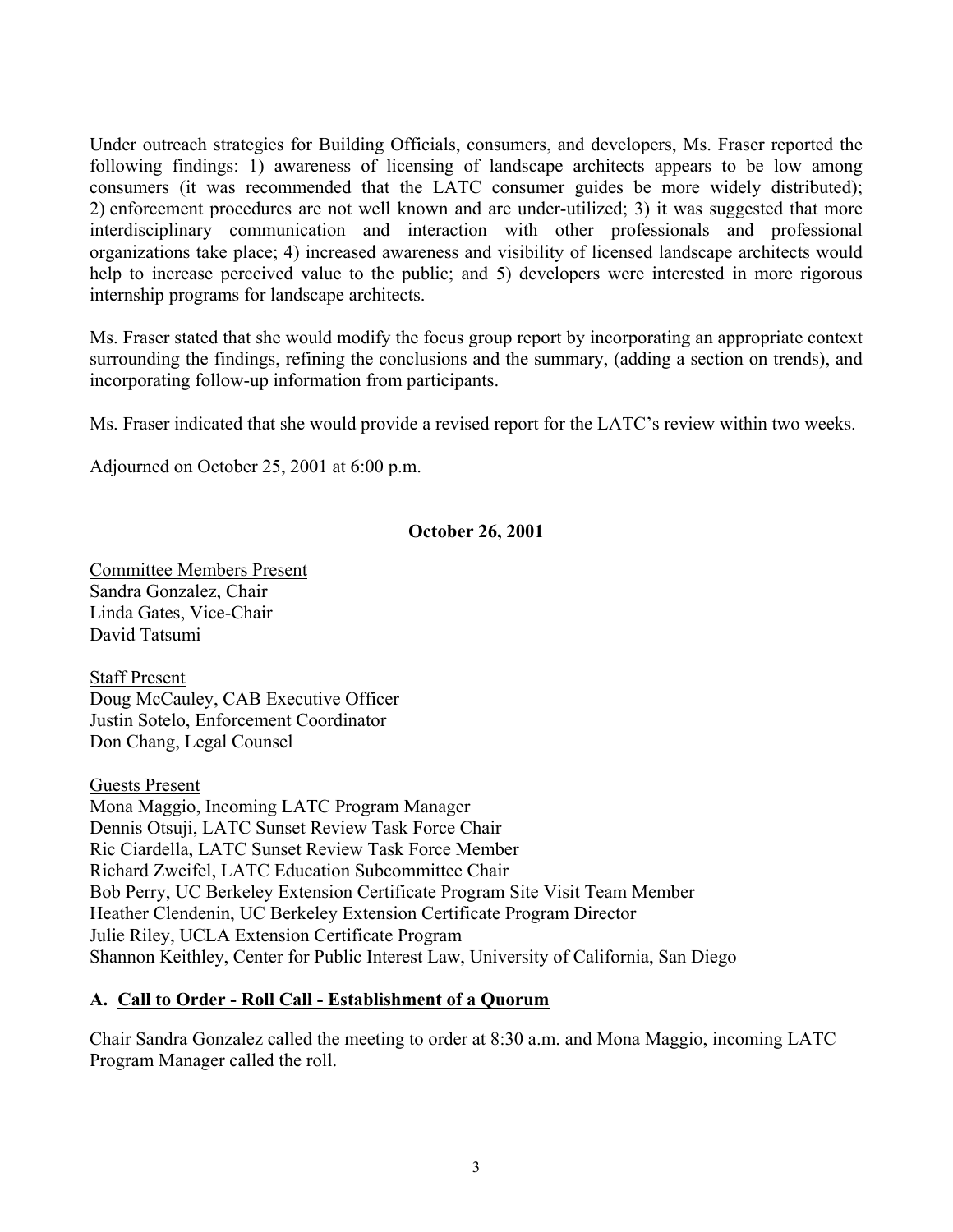Under outreach strategies for Building Officials, consumers, and developers, Ms. Fraser reported the following findings: 1) awareness of licensing of landscape architects appears to be low among consumers (it was recommended that the LATC consumer guides be more widely distributed); 2) enforcement procedures are not well known and are under-utilized; 3) it was suggested that more interdisciplinary communication and interaction with other professionals and professional organizations take place; 4) increased awareness and visibility of licensed landscape architects would help to increase perceived value to the public; and 5) developers were interested in more rigorous internship programs for landscape architects.

Ms. Fraser stated that she would modify the focus group report by incorporating an appropriate context surrounding the findings, refining the conclusions and the summary, (adding a section on trends), and incorporating follow-up information from participants.

Ms. Fraser indicated that she would provide a revised report for the LATC's review within two weeks.

Adjourned on October 25, 2001 at 6:00 p.m.

# **October 26, 2001**

Committee Members Present Sandra Gonzalez, Chair Linda Gates, Vice-Chair David Tatsumi

Staff Present Doug McCauley, CAB Executive Officer Justin Sotelo, Enforcement Coordinator Don Chang, Legal Counsel

Guests Present Mona Maggio, Incoming LATC Program Manager Dennis Otsuji, LATC Sunset Review Task Force Chair Ric Ciardella, LATC Sunset Review Task Force Member Richard Zweifel, LATC Education Subcommittee Chair Bob Perry, UC Berkeley Extension Certificate Program Site Visit Team Member Heather Clendenin, UC Berkeley Extension Certificate Program Director Julie Riley, UCLA Extension Certificate Program Shannon Keithley, Center for Public Interest Law, University of California, San Diego

# **A. Call to Order - Roll Call - Establishment of a Quorum**

Chair Sandra Gonzalez called the meeting to order at 8:30 a.m. and Mona Maggio, incoming LATC Program Manager called the roll.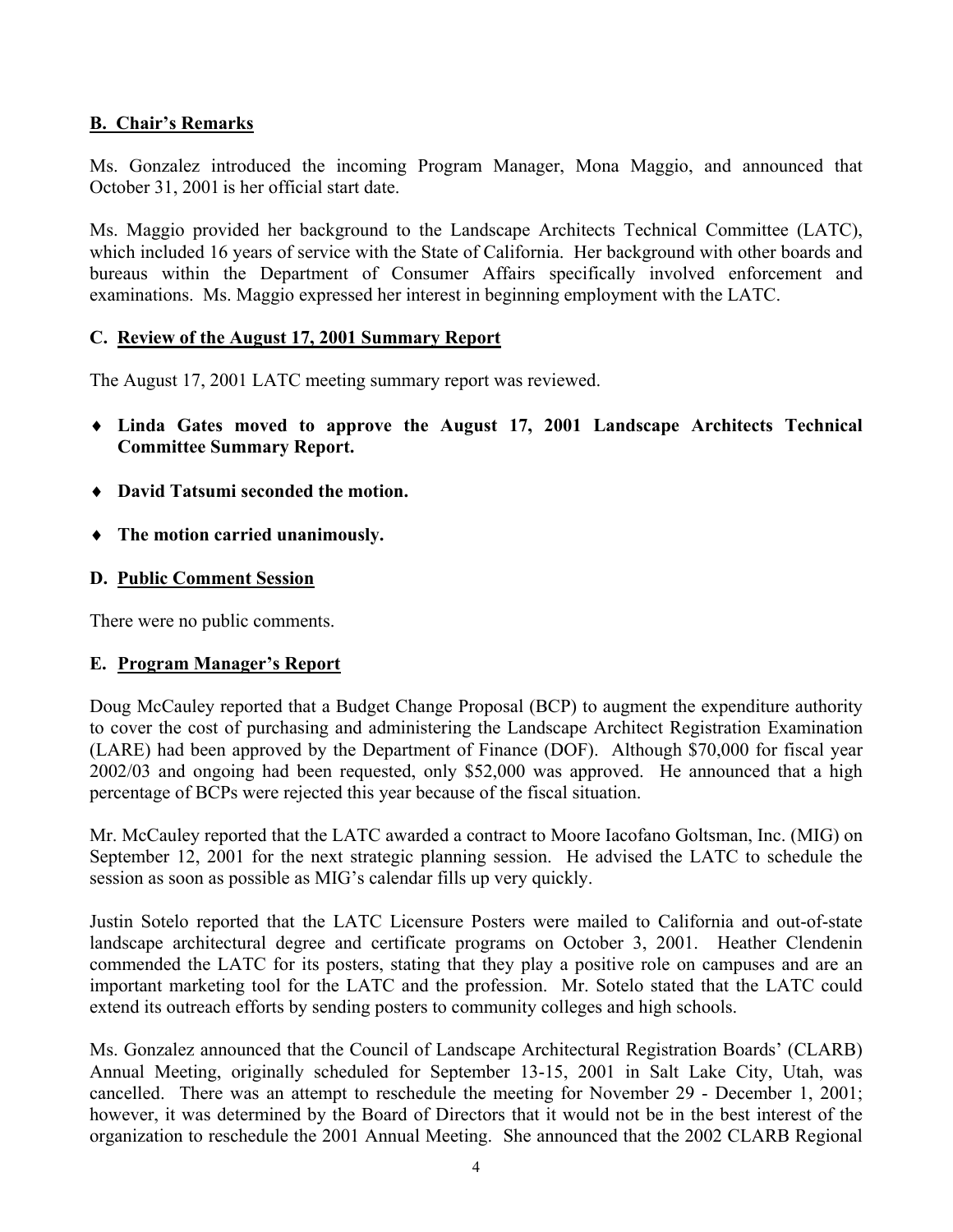#### **B. Chair's Remarks**

Ms. Gonzalez introduced the incoming Program Manager, Mona Maggio, and announced that October 31, 2001 is her official start date.

Ms. Maggio provided her background to the Landscape Architects Technical Committee (LATC), which included 16 years of service with the State of California. Her background with other boards and bureaus within the Department of Consumer Affairs specifically involved enforcement and examinations. Ms. Maggio expressed her interest in beginning employment with the LATC.

#### **C. Review of the August 17, 2001 Summary Report**

The August 17, 2001 LATC meeting summary report was reviewed.

- ♦ **Linda Gates moved to approve the August 17, 2001 Landscape Architects Technical Committee Summary Report.**
- ♦ **David Tatsumi seconded the motion.**
- ♦ **The motion carried unanimously.**

#### **D. Public Comment Session**

There were no public comments.

## **E. Program Manager's Report**

Doug McCauley reported that a Budget Change Proposal (BCP) to augment the expenditure authority to cover the cost of purchasing and administering the Landscape Architect Registration Examination (LARE) had been approved by the Department of Finance (DOF). Although \$70,000 for fiscal year 2002/03 and ongoing had been requested, only \$52,000 was approved. He announced that a high percentage of BCPs were rejected this year because of the fiscal situation.

Mr. McCauley reported that the LATC awarded a contract to Moore Iacofano Goltsman, Inc. (MIG) on September 12, 2001 for the next strategic planning session. He advised the LATC to schedule the session as soon as possible as MIG's calendar fills up very quickly.

Justin Sotelo reported that the LATC Licensure Posters were mailed to California and out-of-state landscape architectural degree and certificate programs on October 3, 2001. Heather Clendenin commended the LATC for its posters, stating that they play a positive role on campuses and are an important marketing tool for the LATC and the profession. Mr. Sotelo stated that the LATC could extend its outreach efforts by sending posters to community colleges and high schools.

Ms. Gonzalez announced that the Council of Landscape Architectural Registration Boards' (CLARB) Annual Meeting, originally scheduled for September 13-15, 2001 in Salt Lake City, Utah, was cancelled. There was an attempt to reschedule the meeting for November 29 - December 1, 2001; however, it was determined by the Board of Directors that it would not be in the best interest of the organization to reschedule the 2001 Annual Meeting. She announced that the 2002 CLARB Regional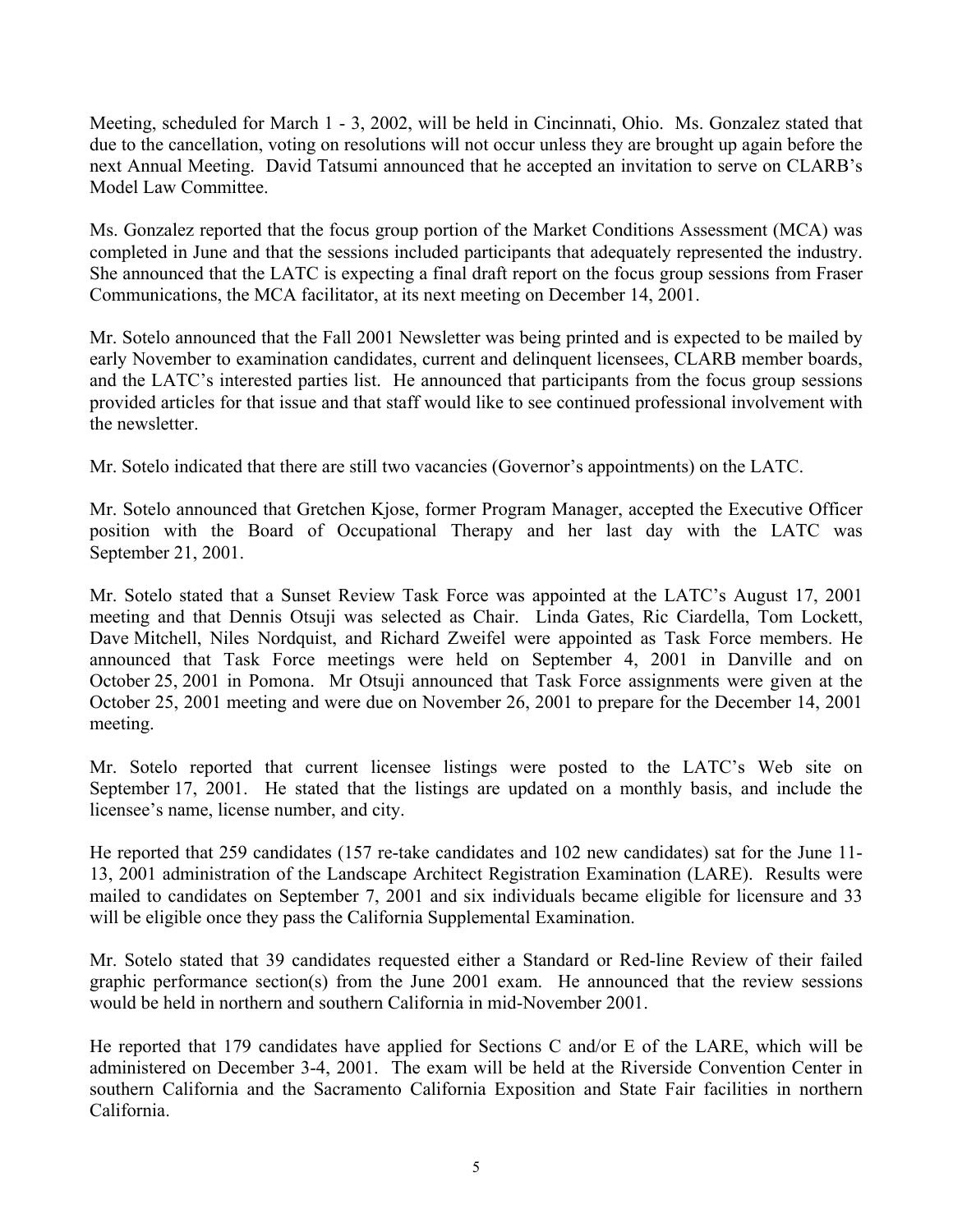Meeting, scheduled for March 1 - 3, 2002, will be held in Cincinnati, Ohio. Ms. Gonzalez stated that due to the cancellation, voting on resolutions will not occur unless they are brought up again before the next Annual Meeting. David Tatsumi announced that he accepted an invitation to serve on CLARB's Model Law Committee.

Ms. Gonzalez reported that the focus group portion of the Market Conditions Assessment (MCA) was completed in June and that the sessions included participants that adequately represented the industry. She announced that the LATC is expecting a final draft report on the focus group sessions from Fraser Communications, the MCA facilitator, at its next meeting on December 14, 2001.

Mr. Sotelo announced that the Fall 2001 Newsletter was being printed and is expected to be mailed by early November to examination candidates, current and delinquent licensees, CLARB member boards, and the LATC's interested parties list. He announced that participants from the focus group sessions provided articles for that issue and that staff would like to see continued professional involvement with the newsletter

Mr. Sotelo indicated that there are still two vacancies (Governor's appointments) on the LATC.

Mr. Sotelo announced that Gretchen Kjose, former Program Manager, accepted the Executive Officer position with the Board of Occupational Therapy and her last day with the LATC was September 21, 2001.

Mr. Sotelo stated that a Sunset Review Task Force was appointed at the LATC's August 17, 2001 meeting and that Dennis Otsuji was selected as Chair. Linda Gates, Ric Ciardella, Tom Lockett, Dave Mitchell, Niles Nordquist, and Richard Zweifel were appointed as Task Force members. He announced that Task Force meetings were held on September 4, 2001 in Danville and on October 25, 2001 in Pomona. Mr Otsuji announced that Task Force assignments were given at the October 25, 2001 meeting and were due on November 26, 2001 to prepare for the December 14, 2001 meeting.

Mr. Sotelo reported that current licensee listings were posted to the LATC's Web site on September 17, 2001. He stated that the listings are updated on a monthly basis, and include the licensee's name, license number, and city.

He reported that 259 candidates (157 re-take candidates and 102 new candidates) sat for the June 11- 13, 2001 administration of the Landscape Architect Registration Examination (LARE). Results were mailed to candidates on September 7, 2001 and six individuals became eligible for licensure and 33 will be eligible once they pass the California Supplemental Examination.

Mr. Sotelo stated that 39 candidates requested either a Standard or Red-line Review of their failed graphic performance section(s) from the June 2001 exam. He announced that the review sessions would be held in northern and southern California in mid-November 2001.

He reported that 179 candidates have applied for Sections C and/or E of the LARE, which will be administered on December 3-4, 2001. The exam will be held at the Riverside Convention Center in southern California and the Sacramento California Exposition and State Fair facilities in northern California.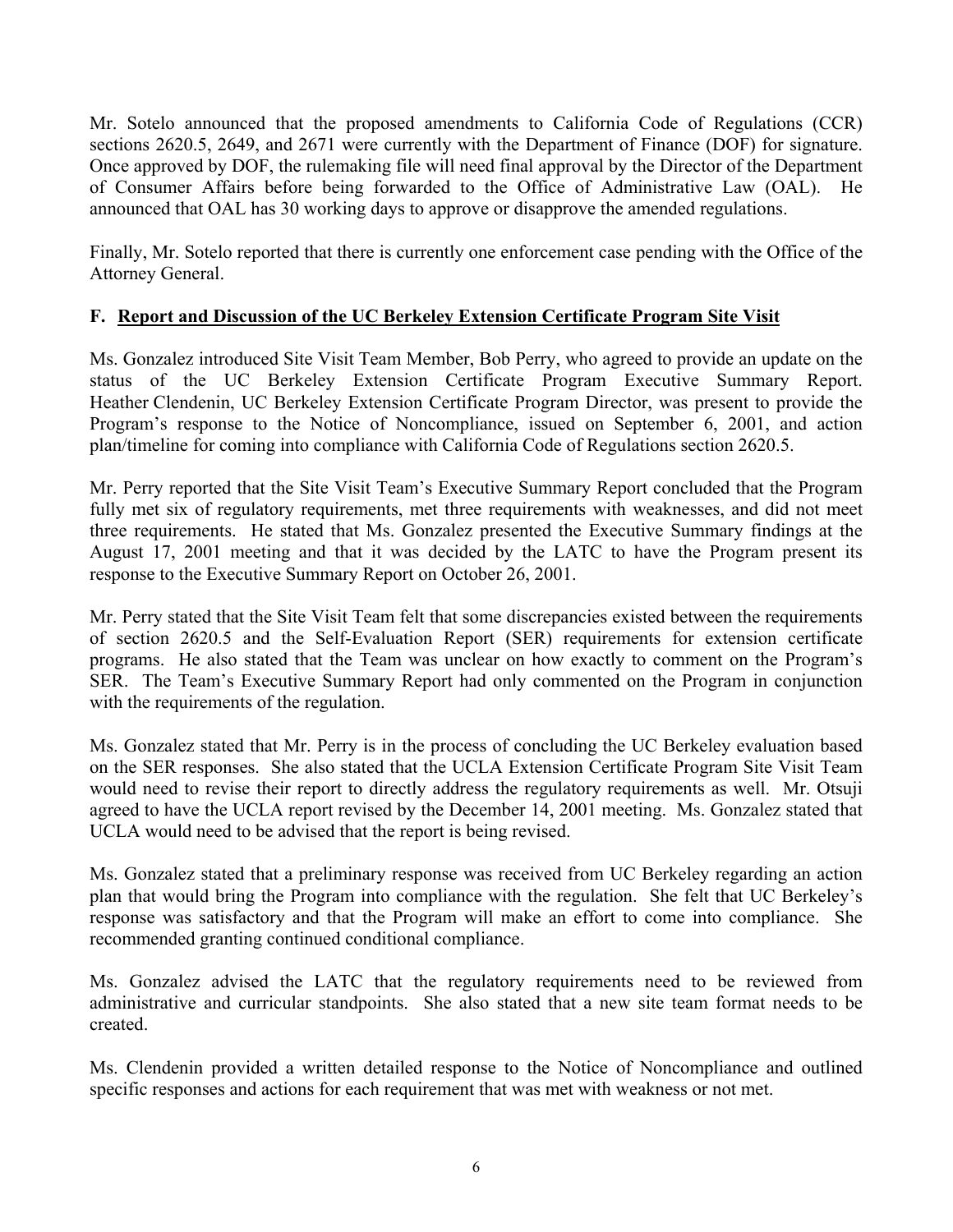Mr. Sotelo announced that the proposed amendments to California Code of Regulations (CCR) sections 2620.5, 2649, and 2671 were currently with the Department of Finance (DOF) for signature. Once approved by DOF, the rulemaking file will need final approval by the Director of the Department of Consumer Affairs before being forwarded to the Office of Administrative Law (OAL). He announced that OAL has 30 working days to approve or disapprove the amended regulations.

Finally, Mr. Sotelo reported that there is currently one enforcement case pending with the Office of the Attorney General.

# **F. Report and Discussion of the UC Berkeley Extension Certificate Program Site Visit**

status of the UC Berkeley Extension Certificate Program Executive Summary Report. Ms. Gonzalez introduced Site Visit Team Member, Bob Perry, who agreed to provide an update on the Heather Clendenin, UC Berkeley Extension Certificate Program Director, was present to provide the Program's response to the Notice of Noncompliance, issued on September 6, 2001, and action plan/timeline for coming into compliance with California Code of Regulations section 2620.5.

Mr. Perry reported that the Site Visit Team's Executive Summary Report concluded that the Program fully met six of regulatory requirements, met three requirements with weaknesses, and did not meet three requirements. He stated that Ms. Gonzalez presented the Executive Summary findings at the August 17, 2001 meeting and that it was decided by the LATC to have the Program present its response to the Executive Summary Report on October 26, 2001.

Mr. Perry stated that the Site Visit Team felt that some discrepancies existed between the requirements of section 2620.5 and the Self-Evaluation Report (SER) requirements for extension certificate programs. He also stated that the Team was unclear on how exactly to comment on the Program's SER. The Team's Executive Summary Report had only commented on the Program in conjunction with the requirements of the regulation.

Ms. Gonzalez stated that Mr. Perry is in the process of concluding the UC Berkeley evaluation based on the SER responses. She also stated that the UCLA Extension Certificate Program Site Visit Team would need to revise their report to directly address the regulatory requirements as well. Mr. Otsuji agreed to have the UCLA report revised by the December 14, 2001 meeting. Ms. Gonzalez stated that UCLA would need to be advised that the report is being revised.

Ms. Gonzalez stated that a preliminary response was received from UC Berkeley regarding an action plan that would bring the Program into compliance with the regulation. She felt that UC Berkeley's response was satisfactory and that the Program will make an effort to come into compliance. She recommended granting continued conditional compliance.

Ms. Gonzalez advised the LATC that the regulatory requirements need to be reviewed from administrative and curricular standpoints. She also stated that a new site team format needs to be created.

Ms. Clendenin provided a written detailed response to the Notice of Noncompliance and outlined specific responses and actions for each requirement that was met with weakness or not met.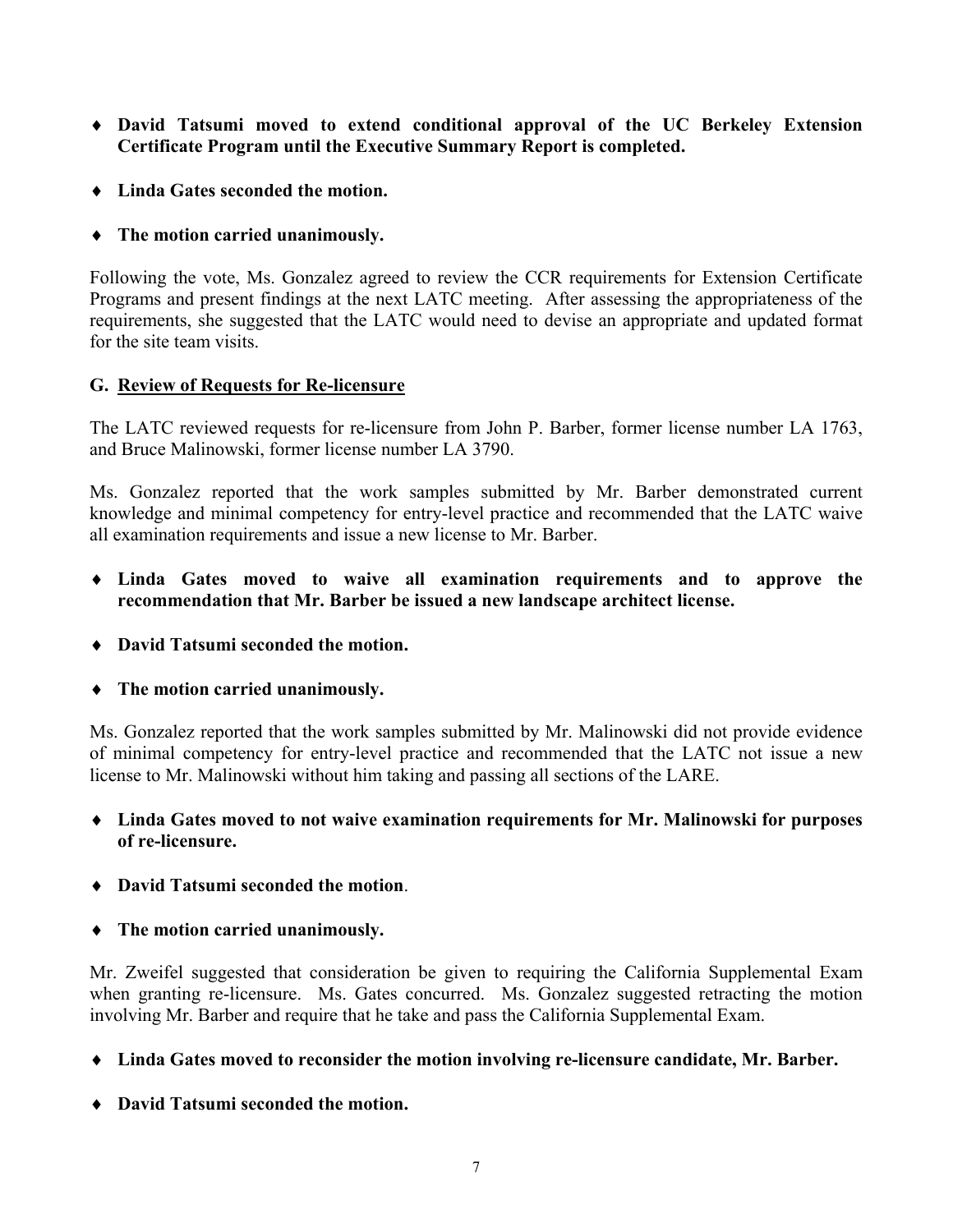- ♦ **David Tatsumi moved to extend conditional approval of the UC Berkeley Extension Certificate Program until the Executive Summary Report is completed.**
- ♦ **Linda Gates seconded the motion.**
- ♦ **The motion carried unanimously.**

Following the vote, Ms. Gonzalez agreed to review the CCR requirements for Extension Certificate Programs and present findings at the next LATC meeting. After assessing the appropriateness of the requirements, she suggested that the LATC would need to devise an appropriate and updated format for the site team visits.

## **G. Review of Requests for Re-licensure**

The LATC reviewed requests for re-licensure from John P. Barber, former license number LA 1763, and Bruce Malinowski, former license number LA 3790.

Ms. Gonzalez reported that the work samples submitted by Mr. Barber demonstrated current knowledge and minimal competency for entry-level practice and recommended that the LATC waive all examination requirements and issue a new license to Mr. Barber.

- ♦ **Linda Gates moved to waive all examination requirements and to approve the recommendation that Mr. Barber be issued a new landscape architect license.**
- ♦ **David Tatsumi seconded the motion.**
- ♦ **The motion carried unanimously.**

Ms. Gonzalez reported that the work samples submitted by Mr. Malinowski did not provide evidence of minimal competency for entry-level practice and recommended that the LATC not issue a new license to Mr. Malinowski without him taking and passing all sections of the LARE.

- ♦ **Linda Gates moved to not waive examination requirements for Mr. Malinowski for purposes of re-licensure.**
- ♦ **David Tatsumi seconded the motion**.
- ♦ **The motion carried unanimously.**

Mr. Zweifel suggested that consideration be given to requiring the California Supplemental Exam when granting re-licensure. Ms. Gates concurred. Ms. Gonzalez suggested retracting the motion involving Mr. Barber and require that he take and pass the California Supplemental Exam.

♦ **Linda Gates moved to reconsider the motion involving re-licensure candidate, Mr. Barber.** 

♦ **David Tatsumi seconded the motion.**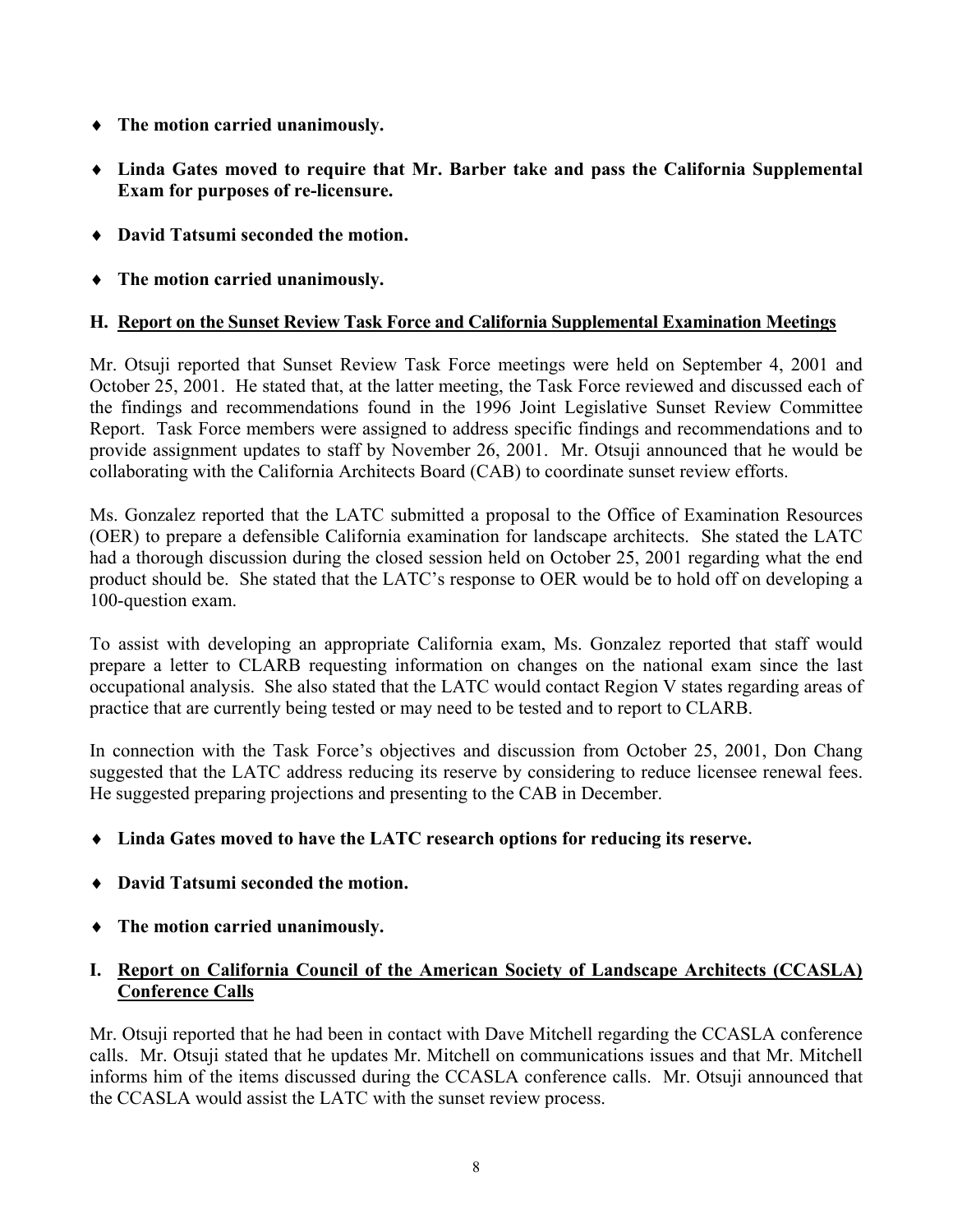- ♦ **The motion carried unanimously.**
- ♦ **Linda Gates moved to require that Mr. Barber take and pass the California Supplemental Exam for purposes of re-licensure.**
- ♦ **David Tatsumi seconded the motion.**
- ♦ **The motion carried unanimously.**

## **H. Report on the Sunset Review Task Force and California Supplemental Examination Meetings**

Mr. Otsuji reported that Sunset Review Task Force meetings were held on September 4, 2001 and October 25, 2001. He stated that, at the latter meeting, the Task Force reviewed and discussed each of the findings and recommendations found in the 1996 Joint Legislative Sunset Review Committee Report. Task Force members were assigned to address specific findings and recommendations and to provide assignment updates to staff by November 26, 2001. Mr. Otsuji announced that he would be collaborating with the California Architects Board (CAB) to coordinate sunset review efforts.

Ms. Gonzalez reported that the LATC submitted a proposal to the Office of Examination Resources (OER) to prepare a defensible California examination for landscape architects. She stated the LATC had a thorough discussion during the closed session held on October 25, 2001 regarding what the end product should be. She stated that the LATC's response to OER would be to hold off on developing a 100-question exam.

To assist with developing an appropriate California exam, Ms. Gonzalez reported that staff would prepare a letter to CLARB requesting information on changes on the national exam since the last occupational analysis. She also stated that the LATC would contact Region V states regarding areas of practice that are currently being tested or may need to be tested and to report to CLARB.

In connection with the Task Force's objectives and discussion from October 25, 2001, Don Chang suggested that the LATC address reducing its reserve by considering to reduce licensee renewal fees. He suggested preparing projections and presenting to the CAB in December.

- ♦ **Linda Gates moved to have the LATC research options for reducing its reserve.**
- ♦ **David Tatsumi seconded the motion.**
- ♦ **The motion carried unanimously.**

# **I. Report on California Council of the American Society of Landscape Architects (CCASLA) Conference Calls**

Mr. Otsuji reported that he had been in contact with Dave Mitchell regarding the CCASLA conference calls. Mr. Otsuji stated that he updates Mr. Mitchell on communications issues and that Mr. Mitchell informs him of the items discussed during the CCASLA conference calls. Mr. Otsuji announced that the CCASLA would assist the LATC with the sunset review process.